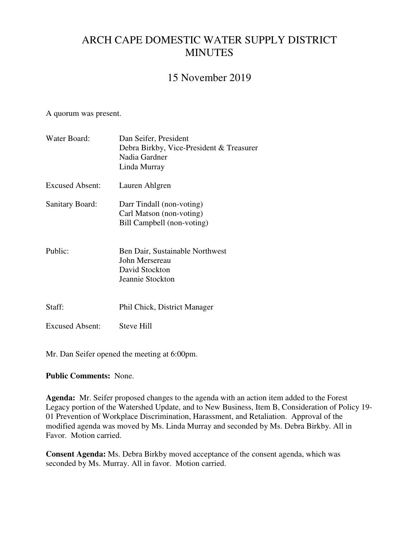# ARCH CAPE DOMESTIC WATER SUPPLY DISTRICT **MINUTES**

# 15 November 2019

A quorum was present.

| Water Board:           | Dan Seifer, President<br>Debra Birkby, Vice-President & Treasurer<br>Nadia Gardner<br>Linda Murray |  |  |
|------------------------|----------------------------------------------------------------------------------------------------|--|--|
| Excused Absent:        | Lauren Ahlgren                                                                                     |  |  |
| <b>Sanitary Board:</b> | Darr Tindall (non-voting)<br>Carl Matson (non-voting)<br>Bill Campbell (non-voting)                |  |  |
| Public:                | Ben Dair, Sustainable Northwest<br>John Mersereau<br>David Stockton<br>Jeannie Stockton            |  |  |
| Staff:                 | Phil Chick, District Manager                                                                       |  |  |
| <b>Excused Absent:</b> | Steve Hill                                                                                         |  |  |

Mr. Dan Seifer opened the meeting at 6:00pm.

#### **Public Comments:** None.

**Agenda:** Mr. Seifer proposed changes to the agenda with an action item added to the Forest Legacy portion of the Watershed Update, and to New Business, Item B, Consideration of Policy 19- 01 Prevention of Workplace Discrimination, Harassment, and Retaliation. Approval of the modified agenda was moved by Ms. Linda Murray and seconded by Ms. Debra Birkby. All in Favor. Motion carried.

**Consent Agenda:** Ms. Debra Birkby moved acceptance of the consent agenda, which was seconded by Ms. Murray. All in favor. Motion carried.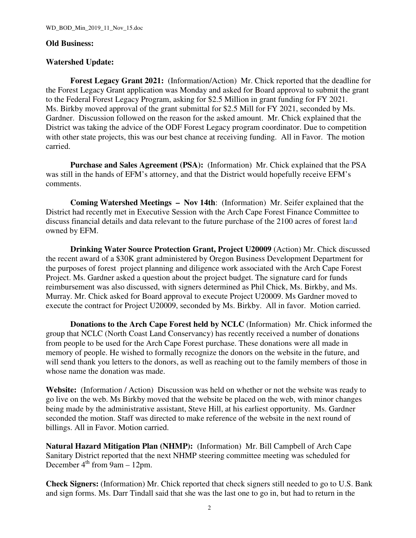#### **Old Business:**

#### **Watershed Update:**

**Forest Legacy Grant 2021:** (Information/Action) Mr. Chick reported that the deadline for the Forest Legacy Grant application was Monday and asked for Board approval to submit the grant to the Federal Forest Legacy Program, asking for \$2.5 Million in grant funding for FY 2021. Ms. Birkby moved approval of the grant submittal for \$2.5 Mill for FY 2021, seconded by Ms. Gardner. Discussion followed on the reason for the asked amount. Mr. Chick explained that the District was taking the advice of the ODF Forest Legacy program coordinator. Due to competition with other state projects, this was our best chance at receiving funding. All in Favor. The motion carried.

**Purchase and Sales Agreement (PSA):** (Information) Mr. Chick explained that the PSA was still in the hands of EFM's attorney, and that the District would hopefully receive EFM's comments.

**Coming Watershed Meetings – Nov 14th**: (Information) Mr. Seifer explained that the District had recently met in Executive Session with the Arch Cape Forest Finance Committee to discuss financial details and data relevant to the future purchase of the 2100 acres of forest land owned by EFM.

**Drinking Water Source Protection Grant, Project U20009** (Action) Mr. Chick discussed the recent award of a \$30K grant administered by Oregon Business Development Department for the purposes of forest project planning and diligence work associated with the Arch Cape Forest Project. Ms. Gardner asked a question about the project budget. The signature card for funds reimbursement was also discussed, with signers determined as Phil Chick, Ms. Birkby, and Ms. Murray. Mr. Chick asked for Board approval to execute Project U20009. Ms Gardner moved to execute the contract for Project U20009, seconded by Ms. Birkby. All in favor. Motion carried.

**Donations to the Arch Cape Forest held by NCLC** (Information) Mr. Chick informed the group that NCLC (North Coast Land Conservancy) has recently received a number of donations from people to be used for the Arch Cape Forest purchase. These donations were all made in memory of people. He wished to formally recognize the donors on the website in the future, and will send thank you letters to the donors, as well as reaching out to the family members of those in whose name the donation was made.

**Website:** (Information / Action) Discussion was held on whether or not the website was ready to go live on the web. Ms Birkby moved that the website be placed on the web, with minor changes being made by the administrative assistant, Steve Hill, at his earliest opportunity. Ms. Gardner seconded the motion. Staff was directed to make reference of the website in the next round of billings. All in Favor. Motion carried.

**Natural Hazard Mitigation Plan (NHMP):** (Information) Mr. Bill Campbell of Arch Cape Sanitary District reported that the next NHMP steering committee meeting was scheduled for December  $4^{th}$  from 9am – 12pm.

**Check Signers:** (Information) Mr. Chick reported that check signers still needed to go to U.S. Bank and sign forms. Ms. Darr Tindall said that she was the last one to go in, but had to return in the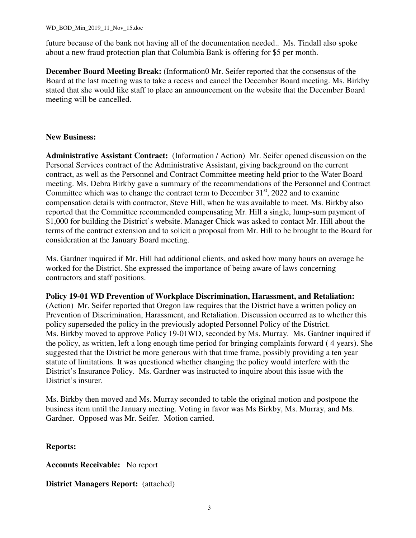future because of the bank not having all of the documentation needed.. Ms. Tindall also spoke about a new fraud protection plan that Columbia Bank is offering for \$5 per month.

**December Board Meeting Break:** (Information0 Mr. Seifer reported that the consensus of the Board at the last meeting was to take a recess and cancel the December Board meeting. Ms. Birkby stated that she would like staff to place an announcement on the website that the December Board meeting will be cancelled.

#### **New Business:**

**Administrative Assistant Contract:** (Information / Action) Mr. Seifer opened discussion on the Personal Services contract of the Administrative Assistant, giving background on the current contract, as well as the Personnel and Contract Committee meeting held prior to the Water Board meeting. Ms. Debra Birkby gave a summary of the recommendations of the Personnel and Contract Committee which was to change the contract term to December  $31<sup>st</sup>$ , 2022 and to examine compensation details with contractor, Steve Hill, when he was available to meet. Ms. Birkby also reported that the Committee recommended compensating Mr. Hill a single, lump-sum payment of \$1,000 for building the District's website. Manager Chick was asked to contact Mr. Hill about the terms of the contract extension and to solicit a proposal from Mr. Hill to be brought to the Board for consideration at the January Board meeting.

Ms. Gardner inquired if Mr. Hill had additional clients, and asked how many hours on average he worked for the District. She expressed the importance of being aware of laws concerning contractors and staff positions.

#### **Policy 19-01 WD Prevention of Workplace Discrimination, Harassment, and Retaliation:**

(Action) Mr. Seifer reported that Oregon law requires that the District have a written policy on Prevention of Discrimination, Harassment, and Retaliation. Discussion occurred as to whether this policy superseded the policy in the previously adopted Personnel Policy of the District. Ms. Birkby moved to approve Policy 19-01WD, seconded by Ms. Murray. Ms. Gardner inquired if the policy, as written, left a long enough time period for bringing complaints forward ( 4 years). She suggested that the District be more generous with that time frame, possibly providing a ten year statute of limitations. It was questioned whether changing the policy would interfere with the District's Insurance Policy. Ms. Gardner was instructed to inquire about this issue with the District's insurer.

Ms. Birkby then moved and Ms. Murray seconded to table the original motion and postpone the business item until the January meeting. Voting in favor was Ms Birkby, Ms. Murray, and Ms. Gardner. Opposed was Mr. Seifer. Motion carried.

#### **Reports:**

**Accounts Receivable:** No report

**District Managers Report:** (attached)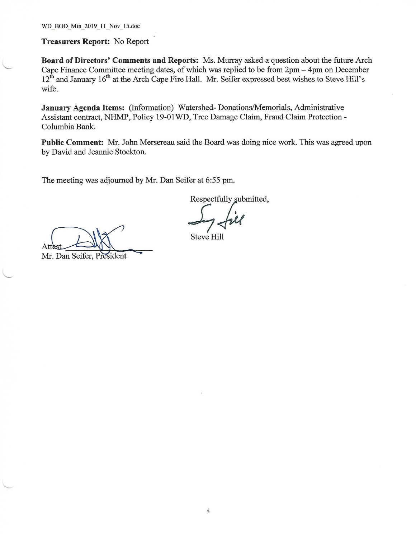WD BOD Min 2019 11 Nov 15.doc

**Treasurers Report: No Report** 

Board of Directors' Comments and Reports: Ms. Murray asked a question about the future Arch Cape Finance Committee meeting dates, of which was replied to be from  $2pm - 4pm$  on December  $12<sup>th</sup>$  and January  $16<sup>th</sup>$  at the Arch Cape Fire Hall. Mr. Seifer expressed best wishes to Steve Hill's wife.

January Agenda Items: (Information) Watershed-Donations/Memorials, Administrative Assistant contract, NHMP, Policy 19-01WD, Tree Damage Claim, Fraud Claim Protection -Columbia Bank.

Public Comment: Mr. John Mersereau said the Board was doing nice work. This was agreed upon by David and Jeannie Stockton.

The meeting was adjourned by Mr. Dan Seifer at 6:55 pm.

Respectfully submitted,

Steve Hill

Mr. Dan Seifer, President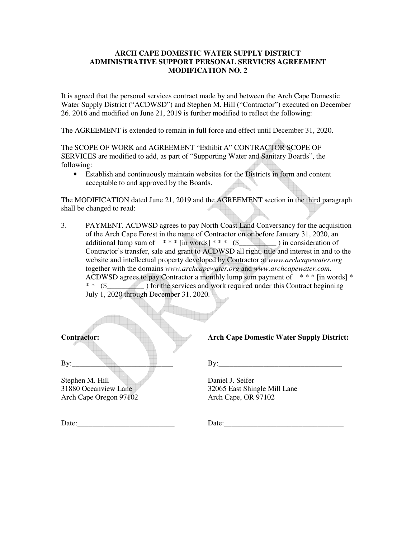#### **ARCH CAPE DOMESTIC WATER SUPPLY DISTRICT ADMINISTRATIVE SUPPORT PERSONAL SERVICES AGREEMENT MODIFICATION NO. 2**

It is agreed that the personal services contract made by and between the Arch Cape Domestic Water Supply District ("ACDWSD") and Stephen M. Hill ("Contractor") executed on December 26. 2016 and modified on June 21, 2019 is further modified to reflect the following:

The AGREEMENT is extended to remain in full force and effect until December 31, 2020.

The SCOPE OF WORK and AGREEMENT "Exhibit A" CONTRACTOR SCOPE OF SERVICES are modified to add, as part of "Supporting Water and Sanitary Boards", the following:

• Establish and continuously maintain websites for the Districts in form and content acceptable to and approved by the Boards.

The MODIFICATION dated June 21, 2019 and the AGREEMENT section in the third paragraph shall be changed to read:

3. PAYMENT. ACDWSD agrees to pay North Coast Land Conversancy for the acquisition of the Arch Cape Forest in the name of Contractor on or before January 31, 2020, an additional lump sum of \* \* \* [in words] \* \* \* (\$\_\_\_\_\_\_\_\_\_\_ ) in consideration of Contractor's transfer, sale and grant to ACDWSD all right, title and interest in and to the website and intellectual property developed by Contractor at *www.archcapewater.org*  together with the domains *www.archcapewater.org* and *www.archcapewater.com*. ACDWSD agrees to pay Contractor a monthly lump sum payment of  $* * * [in words] *$ \* \* (\$\_\_\_\_\_\_\_\_\_\_ ) for the services and work required under this Contract beginning July 1, 2020 through December 31, 2020.

Stephen M. Hill Daniel J. Seifer Arch Cape Oregon 97102 Arch Cape, OR 97102

**Contractor: Arch Cape Domestic Water Supply District:** 

 $\text{By:}\qquad \qquad \qquad \qquad \qquad \text{By:}$ 

31880 Oceanview Lane 32065 East Shingle Mill Lane

Date: The contract of the contract of the contract of  $\Gamma$  at  $\Gamma$  at  $\Gamma$  at  $\Gamma$  at  $\Gamma$  at  $\Gamma$  at  $\Gamma$  at  $\Gamma$  at  $\Gamma$  at  $\Gamma$  at  $\Gamma$  at  $\Gamma$  at  $\Gamma$  at  $\Gamma$  at  $\Gamma$  at  $\Gamma$  at  $\Gamma$  at  $\Gamma$  at  $\Gamma$  at  $\Gamma$  at  $\Gamma$  at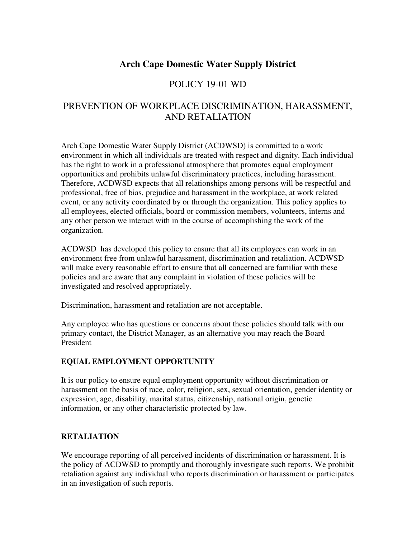# **Arch Cape Domestic Water Supply District**

# POLICY 19-01 WD

# PREVENTION OF WORKPLACE DISCRIMINATION, HARASSMENT, AND RETALIATION

Arch Cape Domestic Water Supply District (ACDWSD) is committed to a work environment in which all individuals are treated with respect and dignity. Each individual has the right to work in a professional atmosphere that promotes equal employment opportunities and prohibits unlawful discriminatory practices, including harassment. Therefore, ACDWSD expects that all relationships among persons will be respectful and professional, free of bias, prejudice and harassment in the workplace, at work related event, or any activity coordinated by or through the organization. This policy applies to all employees, elected officials, board or commission members, volunteers, interns and any other person we interact with in the course of accomplishing the work of the organization.

ACDWSD has developed this policy to ensure that all its employees can work in an environment free from unlawful harassment, discrimination and retaliation. ACDWSD will make every reasonable effort to ensure that all concerned are familiar with these policies and are aware that any complaint in violation of these policies will be investigated and resolved appropriately.

Discrimination, harassment and retaliation are not acceptable.

Any employee who has questions or concerns about these policies should talk with our primary contact, the District Manager, as an alternative you may reach the Board President

#### **EQUAL EMPLOYMENT OPPORTUNITY**

It is our policy to ensure equal employment opportunity without discrimination or harassment on the basis of race, color, religion, sex, sexual orientation, gender identity or expression, age, disability, marital status, citizenship, national origin, genetic information, or any other characteristic protected by law.

#### **RETALIATION**

We encourage reporting of all perceived incidents of discrimination or harassment. It is the policy of ACDWSD to promptly and thoroughly investigate such reports. We prohibit retaliation against any individual who reports discrimination or harassment or participates in an investigation of such reports.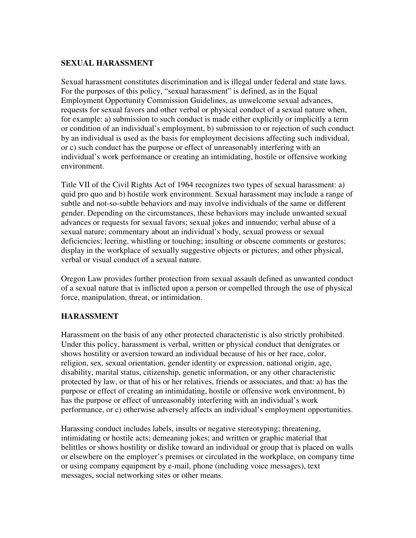#### **SEXUAL HARASSMENT**

Sexual harassment constitutes discrimination and is illegal under federal and state laws. For the purposes of this policy, "sexual harassment" is defined, as in the Equal Employment Opportunity Commission Guidelines, as unwelcome sexual advances, requests for sexual favors and other verbal or physical conduct of a sexual nature when, for example: a) submission to such conduct is made either explicitly or implicitly a term or condition of an individual's employment, b) submission to or rejection of such conduct by an individual is used as the basis for employment decisions affecting such individual, or c) such conduct has the purpose or effect of unreasonably interfering with an individual's work performance or creating an intimidating, hostile or offensive working environment.

Title VII of the Civil Rights Act of 1964 recognizes two types of sexual harassment: a) quid pro quo and b) hostile work environment. Sexual harassment may include a range of subtle and not-so-subtle behaviors and may involve individuals of the same or different gender. Depending on the circumstances, these behaviors may include unwanted sexual advances or requests for sexual favors; sexual jokes and innuendo; verbal abuse of a sexual nature; commentary about an individual's body, sexual prowess or sexual deficiencies; leering, whistling or touching; insulting or obscene comments or gestures; display in the workplace of sexually suggestive objects or pictures; and other physical, verbal or visual conduct of a sexual nature.

Oregon Law provides further protection from sexual assault defined as unwanted conduct of a sexual nature that is inflicted upon a person or compelled through the use of physical force, manipulation, threat, or intimidation.

#### **HARASSMENT**

Harassment on the basis of any other protected characteristic is also strictly prohibited. Under this policy, harassment is verbal, written or physical conduct that denigrates or shows hostility or aversion toward an individual because of his or her race, color, religion, sex, sexual orientation, gender identity or expression, national origin, age, disability, marital status, citizenship, genetic information, or any other characteristic protected by law, or that of his or her relatives, friends or associates, and that: a) has the purpose or effect of creating an intimidating, hostile or offensive work environment, b) has the purpose or effect of unreasonably interfering with an individual's work performance, or c) otherwise adversely affects an individual's employment opportunities.

Harassing conduct includes labels, insults or negative stereotyping; threatening, intimidating or hostile acts; demeaning jokes; and written or graphic material that belittles or shows hostility or dislike toward an individual or group that is placed on walls or elsewhere on the employer's premises or circulated in the workplace, on company time or using company equipment by e-mail, phone (including voice messages), text messages, social networking sites or other means.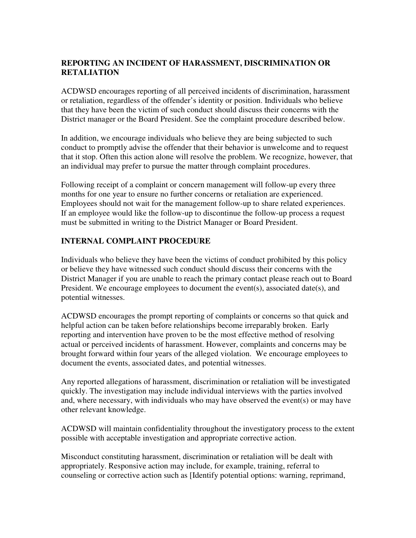### **REPORTING AN INCIDENT OF HARASSMENT, DISCRIMINATION OR RETALIATION**

ACDWSD encourages reporting of all perceived incidents of discrimination, harassment or retaliation, regardless of the offender's identity or position. Individuals who believe that they have been the victim of such conduct should discuss their concerns with the District manager or the Board President. See the complaint procedure described below.

In addition, we encourage individuals who believe they are being subjected to such conduct to promptly advise the offender that their behavior is unwelcome and to request that it stop. Often this action alone will resolve the problem. We recognize, however, that an individual may prefer to pursue the matter through complaint procedures.

Following receipt of a complaint or concern management will follow-up every three months for one year to ensure no further concerns or retaliation are experienced. Employees should not wait for the management follow-up to share related experiences. If an employee would like the follow-up to discontinue the follow-up process a request must be submitted in writing to the District Manager or Board President.

## **INTERNAL COMPLAINT PROCEDURE**

Individuals who believe they have been the victims of conduct prohibited by this policy or believe they have witnessed such conduct should discuss their concerns with the District Manager if you are unable to reach the primary contact please reach out to Board President. We encourage employees to document the event(s), associated date(s), and potential witnesses.

ACDWSD encourages the prompt reporting of complaints or concerns so that quick and helpful action can be taken before relationships become irreparably broken. Early reporting and intervention have proven to be the most effective method of resolving actual or perceived incidents of harassment. However, complaints and concerns may be brought forward within four years of the alleged violation. We encourage employees to document the events, associated dates, and potential witnesses.

Any reported allegations of harassment, discrimination or retaliation will be investigated quickly. The investigation may include individual interviews with the parties involved and, where necessary, with individuals who may have observed the event(s) or may have other relevant knowledge.

ACDWSD will maintain confidentiality throughout the investigatory process to the extent possible with acceptable investigation and appropriate corrective action.

Misconduct constituting harassment, discrimination or retaliation will be dealt with appropriately. Responsive action may include, for example, training, referral to counseling or corrective action such as [Identify potential options: warning, reprimand,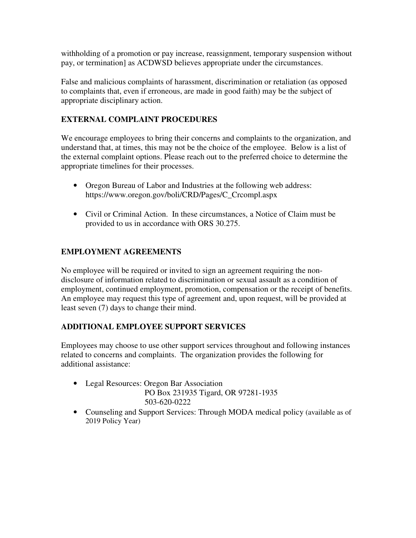withholding of a promotion or pay increase, reassignment, temporary suspension without pay, or termination] as ACDWSD believes appropriate under the circumstances.

False and malicious complaints of harassment, discrimination or retaliation (as opposed to complaints that, even if erroneous, are made in good faith) may be the subject of appropriate disciplinary action.

## **EXTERNAL COMPLAINT PROCEDURES**

We encourage employees to bring their concerns and complaints to the organization, and understand that, at times, this may not be the choice of the employee. Below is a list of the external complaint options. Please reach out to the preferred choice to determine the appropriate timelines for their processes.

- Oregon Bureau of Labor and Industries at the following web address: https://www.oregon.gov/boli/CRD/Pages/C\_Crcompl.aspx
- Civil or Criminal Action. In these circumstances, a Notice of Claim must be provided to us in accordance with ORS 30.275.

## **EMPLOYMENT AGREEMENTS**

No employee will be required or invited to sign an agreement requiring the nondisclosure of information related to discrimination or sexual assault as a condition of employment, continued employment, promotion, compensation or the receipt of benefits. An employee may request this type of agreement and, upon request, will be provided at least seven (7) days to change their mind.

## **ADDITIONAL EMPLOYEE SUPPORT SERVICES**

Employees may choose to use other support services throughout and following instances related to concerns and complaints. The organization provides the following for additional assistance:

- Legal Resources: Oregon Bar Association PO Box 231935 Tigard, OR 97281-1935 503-620-0222
- Counseling and Support Services: Through MODA medical policy (available as of 2019 Policy Year)